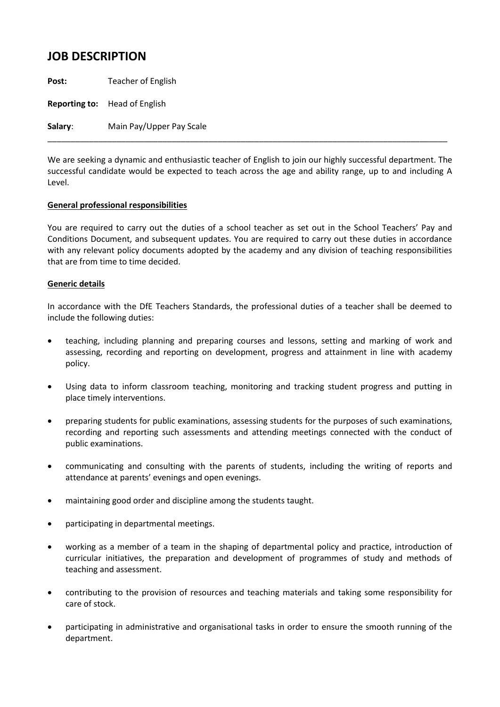## **JOB DESCRIPTION**

**Post:** Teacher of English

**Reporting to:** Head of English

**Salary**: Main Pay/Upper Pay Scale

We are seeking a dynamic and enthusiastic teacher of English to join our highly successful department. The successful candidate would be expected to teach across the age and ability range, up to and including A Level.

\_\_\_\_\_\_\_\_\_\_\_\_\_\_\_\_\_\_\_\_\_\_\_\_\_\_\_\_\_\_\_\_\_\_\_\_\_\_\_\_\_\_\_\_\_\_\_\_\_\_\_\_\_\_\_\_\_\_\_\_\_\_\_\_\_\_\_\_\_\_\_\_\_\_\_\_\_\_\_\_\_\_\_\_\_\_\_

## **General professional responsibilities**

You are required to carry out the duties of a school teacher as set out in the School Teachers' Pay and Conditions Document, and subsequent updates. You are required to carry out these duties in accordance with any relevant policy documents adopted by the academy and any division of teaching responsibilities that are from time to time decided.

## **Generic details**

In accordance with the DfE Teachers Standards, the professional duties of a teacher shall be deemed to include the following duties:

- teaching, including planning and preparing courses and lessons, setting and marking of work and assessing, recording and reporting on development, progress and attainment in line with academy policy.
- Using data to inform classroom teaching, monitoring and tracking student progress and putting in place timely interventions.
- preparing students for public examinations, assessing students for the purposes of such examinations, recording and reporting such assessments and attending meetings connected with the conduct of public examinations.
- communicating and consulting with the parents of students, including the writing of reports and attendance at parents' evenings and open evenings.
- maintaining good order and discipline among the students taught.
- participating in departmental meetings.
- working as a member of a team in the shaping of departmental policy and practice, introduction of curricular initiatives, the preparation and development of programmes of study and methods of teaching and assessment.
- contributing to the provision of resources and teaching materials and taking some responsibility for care of stock.
- participating in administrative and organisational tasks in order to ensure the smooth running of the department.